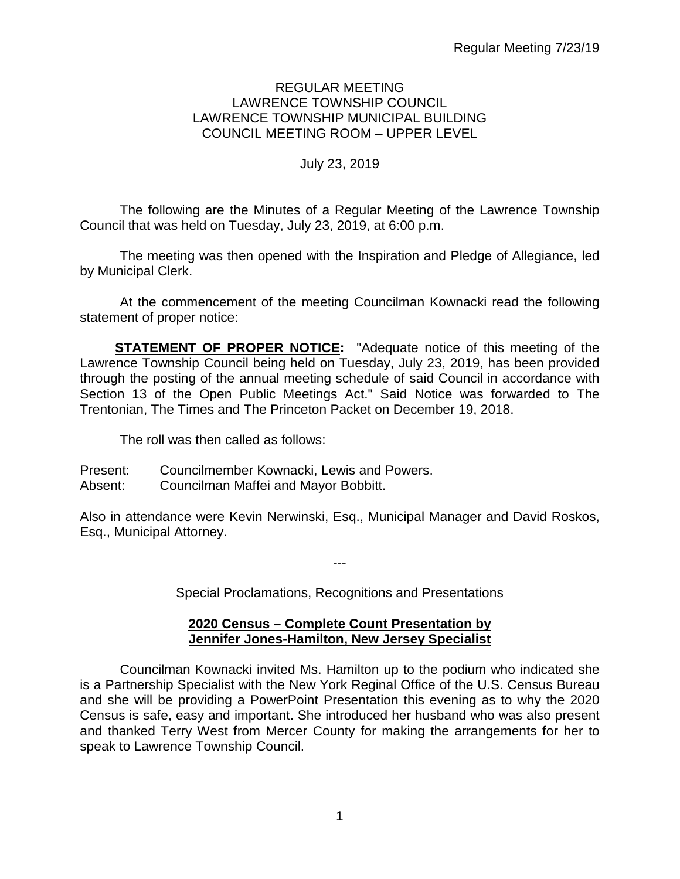### REGULAR MEETING LAWRENCE TOWNSHIP COUNCIL LAWRENCE TOWNSHIP MUNICIPAL BUILDING COUNCIL MEETING ROOM – UPPER LEVEL

### July 23, 2019

The following are the Minutes of a Regular Meeting of the Lawrence Township Council that was held on Tuesday, July 23, 2019, at 6:00 p.m.

The meeting was then opened with the Inspiration and Pledge of Allegiance, led by Municipal Clerk.

At the commencement of the meeting Councilman Kownacki read the following statement of proper notice:

**STATEMENT OF PROPER NOTICE:** "Adequate notice of this meeting of the Lawrence Township Council being held on Tuesday, July 23, 2019, has been provided through the posting of the annual meeting schedule of said Council in accordance with Section 13 of the Open Public Meetings Act." Said Notice was forwarded to The Trentonian, The Times and The Princeton Packet on December 19, 2018.

The roll was then called as follows:

Present: Councilmember Kownacki, Lewis and Powers.

Absent: Councilman Maffei and Mayor Bobbitt.

Also in attendance were Kevin Nerwinski, Esq., Municipal Manager and David Roskos, Esq., Municipal Attorney.

Special Proclamations, Recognitions and Presentations

---

#### **2020 Census – Complete Count Presentation by Jennifer Jones-Hamilton, New Jersey Specialist**

Councilman Kownacki invited Ms. Hamilton up to the podium who indicated she is a Partnership Specialist with the New York Reginal Office of the U.S. Census Bureau and she will be providing a PowerPoint Presentation this evening as to why the 2020 Census is safe, easy and important. She introduced her husband who was also present and thanked Terry West from Mercer County for making the arrangements for her to speak to Lawrence Township Council.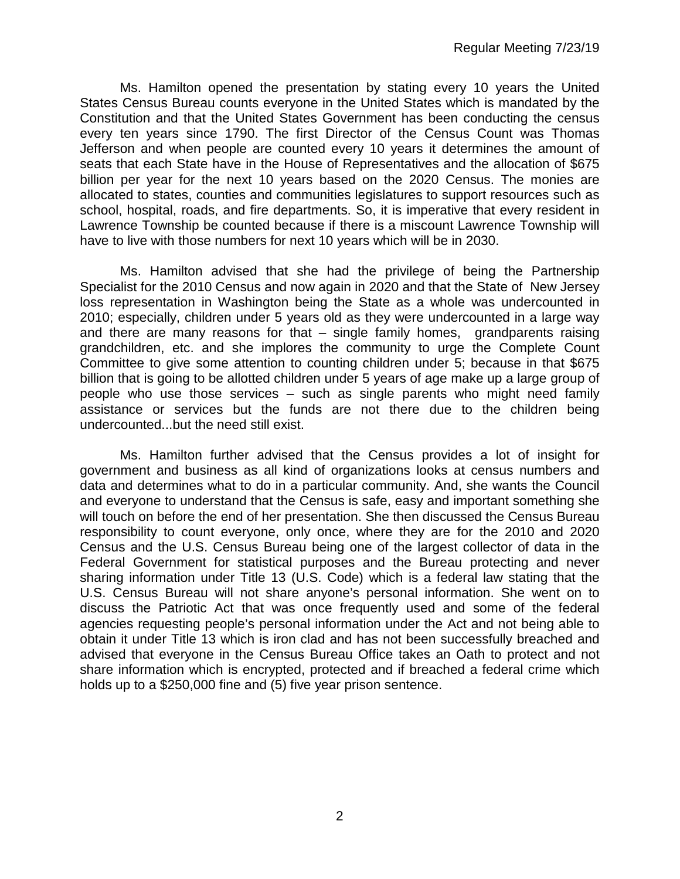Ms. Hamilton opened the presentation by stating every 10 years the United States Census Bureau counts everyone in the United States which is mandated by the Constitution and that the United States Government has been conducting the census every ten years since 1790. The first Director of the Census Count was Thomas Jefferson and when people are counted every 10 years it determines the amount of seats that each State have in the House of Representatives and the allocation of \$675 billion per year for the next 10 years based on the 2020 Census. The monies are allocated to states, counties and communities legislatures to support resources such as school, hospital, roads, and fire departments. So, it is imperative that every resident in Lawrence Township be counted because if there is a miscount Lawrence Township will have to live with those numbers for next 10 years which will be in 2030.

Ms. Hamilton advised that she had the privilege of being the Partnership Specialist for the 2010 Census and now again in 2020 and that the State of New Jersey loss representation in Washington being the State as a whole was undercounted in 2010; especially, children under 5 years old as they were undercounted in a large way and there are many reasons for that – single family homes, grandparents raising grandchildren, etc. and she implores the community to urge the Complete Count Committee to give some attention to counting children under 5; because in that \$675 billion that is going to be allotted children under 5 years of age make up a large group of people who use those services – such as single parents who might need family assistance or services but the funds are not there due to the children being undercounted...but the need still exist.

Ms. Hamilton further advised that the Census provides a lot of insight for government and business as all kind of organizations looks at census numbers and data and determines what to do in a particular community. And, she wants the Council and everyone to understand that the Census is safe, easy and important something she will touch on before the end of her presentation. She then discussed the Census Bureau responsibility to count everyone, only once, where they are for the 2010 and 2020 Census and the U.S. Census Bureau being one of the largest collector of data in the Federal Government for statistical purposes and the Bureau protecting and never sharing information under Title 13 (U.S. Code) which is a federal law stating that the U.S. Census Bureau will not share anyone's personal information. She went on to discuss the Patriotic Act that was once frequently used and some of the federal agencies requesting people's personal information under the Act and not being able to obtain it under Title 13 which is iron clad and has not been successfully breached and advised that everyone in the Census Bureau Office takes an Oath to protect and not share information which is encrypted, protected and if breached a federal crime which holds up to a \$250,000 fine and (5) five year prison sentence.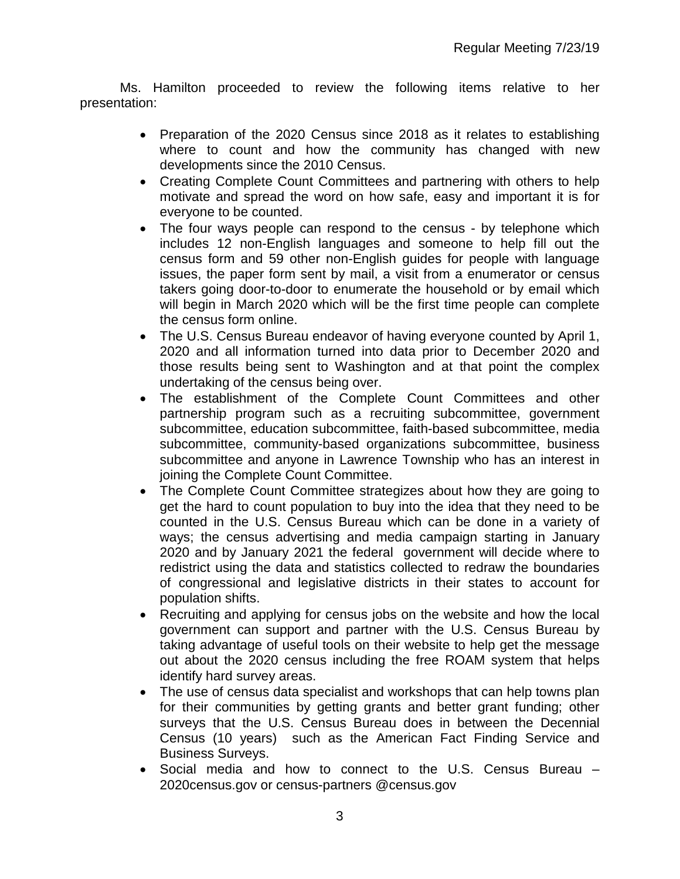Ms. Hamilton proceeded to review the following items relative to her presentation:

- Preparation of the 2020 Census since 2018 as it relates to establishing where to count and how the community has changed with new developments since the 2010 Census.
- Creating Complete Count Committees and partnering with others to help motivate and spread the word on how safe, easy and important it is for everyone to be counted.
- The four ways people can respond to the census by telephone which includes 12 non-English languages and someone to help fill out the census form and 59 other non-English guides for people with language issues, the paper form sent by mail, a visit from a enumerator or census takers going door-to-door to enumerate the household or by email which will begin in March 2020 which will be the first time people can complete the census form online.
- The U.S. Census Bureau endeavor of having everyone counted by April 1, 2020 and all information turned into data prior to December 2020 and those results being sent to Washington and at that point the complex undertaking of the census being over.
- The establishment of the Complete Count Committees and other partnership program such as a recruiting subcommittee, government subcommittee, education subcommittee, faith-based subcommittee, media subcommittee, community-based organizations subcommittee, business subcommittee and anyone in Lawrence Township who has an interest in joining the Complete Count Committee.
- The Complete Count Committee strategizes about how they are going to get the hard to count population to buy into the idea that they need to be counted in the U.S. Census Bureau which can be done in a variety of ways; the census advertising and media campaign starting in January 2020 and by January 2021 the federal government will decide where to redistrict using the data and statistics collected to redraw the boundaries of congressional and legislative districts in their states to account for population shifts.
- Recruiting and applying for census jobs on the website and how the local government can support and partner with the U.S. Census Bureau by taking advantage of useful tools on their website to help get the message out about the 2020 census including the free ROAM system that helps identify hard survey areas.
- The use of census data specialist and workshops that can help towns plan for their communities by getting grants and better grant funding; other surveys that the U.S. Census Bureau does in between the Decennial Census (10 years) such as the American Fact Finding Service and Business Surveys.
- Social media and how to connect to the U.S. Census Bureau 2020census.gov or census-partners @census.gov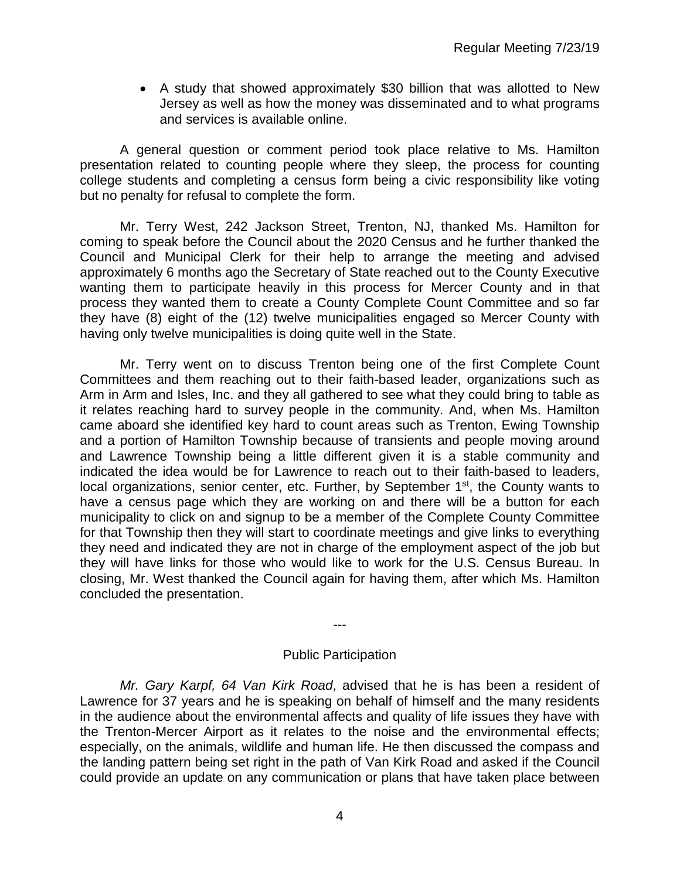• A study that showed approximately \$30 billion that was allotted to New Jersey as well as how the money was disseminated and to what programs and services is available online.

A general question or comment period took place relative to Ms. Hamilton presentation related to counting people where they sleep, the process for counting college students and completing a census form being a civic responsibility like voting but no penalty for refusal to complete the form.

Mr. Terry West, 242 Jackson Street, Trenton, NJ, thanked Ms. Hamilton for coming to speak before the Council about the 2020 Census and he further thanked the Council and Municipal Clerk for their help to arrange the meeting and advised approximately 6 months ago the Secretary of State reached out to the County Executive wanting them to participate heavily in this process for Mercer County and in that process they wanted them to create a County Complete Count Committee and so far they have (8) eight of the (12) twelve municipalities engaged so Mercer County with having only twelve municipalities is doing quite well in the State.

Mr. Terry went on to discuss Trenton being one of the first Complete Count Committees and them reaching out to their faith-based leader, organizations such as Arm in Arm and Isles, Inc. and they all gathered to see what they could bring to table as it relates reaching hard to survey people in the community. And, when Ms. Hamilton came aboard she identified key hard to count areas such as Trenton, Ewing Township and a portion of Hamilton Township because of transients and people moving around and Lawrence Township being a little different given it is a stable community and indicated the idea would be for Lawrence to reach out to their faith-based to leaders, local organizations, senior center, etc. Further, by September 1<sup>st</sup>, the County wants to have a census page which they are working on and there will be a button for each municipality to click on and signup to be a member of the Complete County Committee for that Township then they will start to coordinate meetings and give links to everything they need and indicated they are not in charge of the employment aspect of the job but they will have links for those who would like to work for the U.S. Census Bureau. In closing, Mr. West thanked the Council again for having them, after which Ms. Hamilton concluded the presentation.

*---*

#### Public Participation

*Mr. Gary Karpf, 64 Van Kirk Road*, advised that he is has been a resident of Lawrence for 37 years and he is speaking on behalf of himself and the many residents in the audience about the environmental affects and quality of life issues they have with the Trenton-Mercer Airport as it relates to the noise and the environmental effects; especially, on the animals, wildlife and human life. He then discussed the compass and the landing pattern being set right in the path of Van Kirk Road and asked if the Council could provide an update on any communication or plans that have taken place between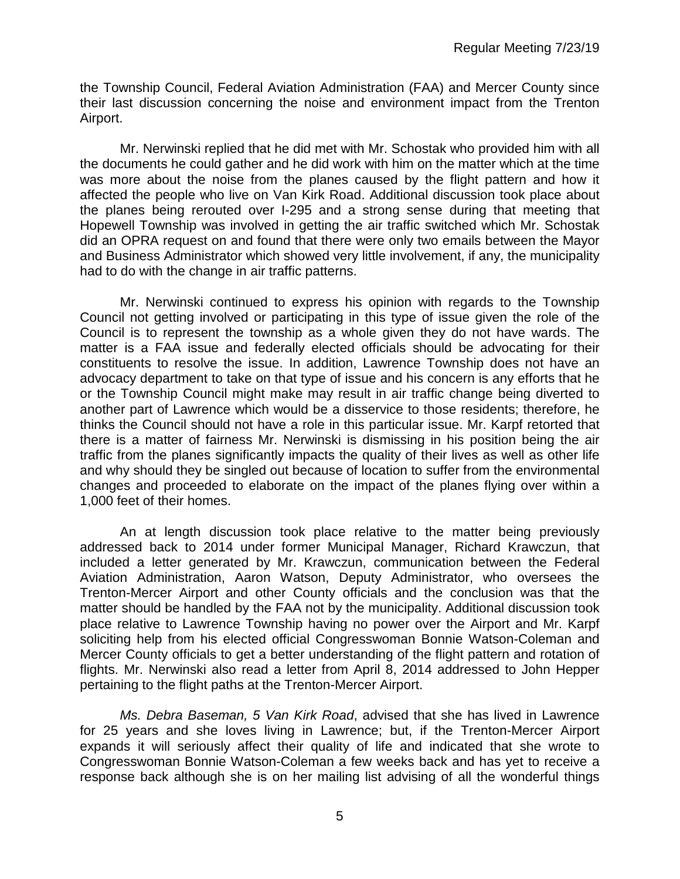the Township Council, Federal Aviation Administration (FAA) and Mercer County since their last discussion concerning the noise and environment impact from the Trenton Airport.

Mr. Nerwinski replied that he did met with Mr. Schostak who provided him with all the documents he could gather and he did work with him on the matter which at the time was more about the noise from the planes caused by the flight pattern and how it affected the people who live on Van Kirk Road. Additional discussion took place about the planes being rerouted over I-295 and a strong sense during that meeting that Hopewell Township was involved in getting the air traffic switched which Mr. Schostak did an OPRA request on and found that there were only two emails between the Mayor and Business Administrator which showed very little involvement, if any, the municipality had to do with the change in air traffic patterns.

Mr. Nerwinski continued to express his opinion with regards to the Township Council not getting involved or participating in this type of issue given the role of the Council is to represent the township as a whole given they do not have wards. The matter is a FAA issue and federally elected officials should be advocating for their constituents to resolve the issue. In addition, Lawrence Township does not have an advocacy department to take on that type of issue and his concern is any efforts that he or the Township Council might make may result in air traffic change being diverted to another part of Lawrence which would be a disservice to those residents; therefore, he thinks the Council should not have a role in this particular issue. Mr. Karpf retorted that there is a matter of fairness Mr. Nerwinski is dismissing in his position being the air traffic from the planes significantly impacts the quality of their lives as well as other life and why should they be singled out because of location to suffer from the environmental changes and proceeded to elaborate on the impact of the planes flying over within a 1,000 feet of their homes.

An at length discussion took place relative to the matter being previously addressed back to 2014 under former Municipal Manager, Richard Krawczun, that included a letter generated by Mr. Krawczun, communication between the Federal Aviation Administration, Aaron Watson, Deputy Administrator, who oversees the Trenton-Mercer Airport and other County officials and the conclusion was that the matter should be handled by the FAA not by the municipality. Additional discussion took place relative to Lawrence Township having no power over the Airport and Mr. Karpf soliciting help from his elected official Congresswoman Bonnie Watson-Coleman and Mercer County officials to get a better understanding of the flight pattern and rotation of flights. Mr. Nerwinski also read a letter from April 8, 2014 addressed to John Hepper pertaining to the flight paths at the Trenton-Mercer Airport.

*Ms. Debra Baseman, 5 Van Kirk Road*, advised that she has lived in Lawrence for 25 years and she loves living in Lawrence; but, if the Trenton-Mercer Airport expands it will seriously affect their quality of life and indicated that she wrote to Congresswoman Bonnie Watson-Coleman a few weeks back and has yet to receive a response back although she is on her mailing list advising of all the wonderful things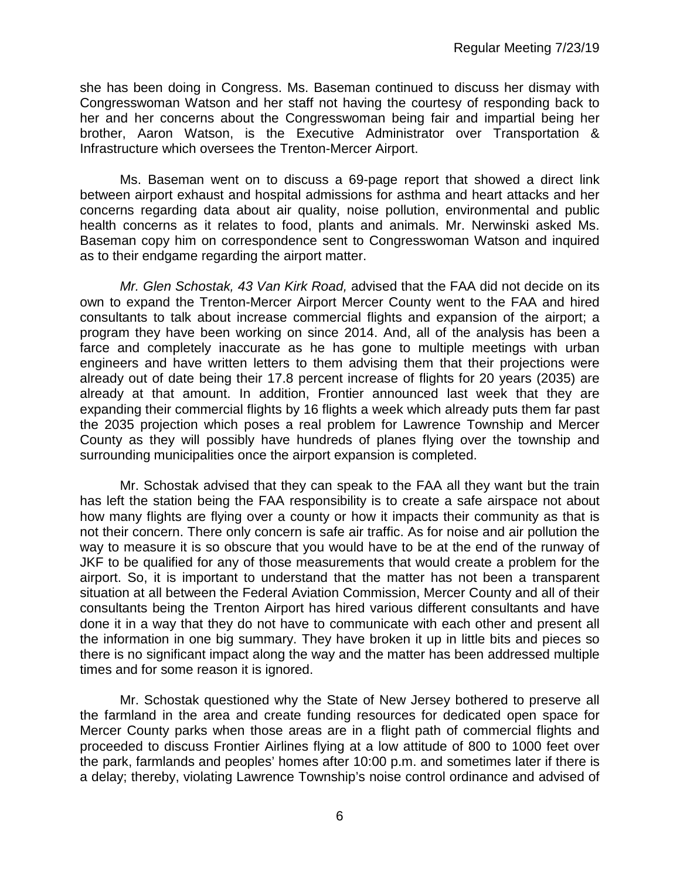she has been doing in Congress. Ms. Baseman continued to discuss her dismay with Congresswoman Watson and her staff not having the courtesy of responding back to her and her concerns about the Congresswoman being fair and impartial being her brother, Aaron Watson, is the Executive Administrator over Transportation & Infrastructure which oversees the Trenton-Mercer Airport.

Ms. Baseman went on to discuss a 69-page report that showed a direct link between airport exhaust and hospital admissions for asthma and heart attacks and her concerns regarding data about air quality, noise pollution, environmental and public health concerns as it relates to food, plants and animals. Mr. Nerwinski asked Ms. Baseman copy him on correspondence sent to Congresswoman Watson and inquired as to their endgame regarding the airport matter.

*Mr. Glen Schostak, 43 Van Kirk Road,* advised that the FAA did not decide on its own to expand the Trenton-Mercer Airport Mercer County went to the FAA and hired consultants to talk about increase commercial flights and expansion of the airport; a program they have been working on since 2014. And, all of the analysis has been a farce and completely inaccurate as he has gone to multiple meetings with urban engineers and have written letters to them advising them that their projections were already out of date being their 17.8 percent increase of flights for 20 years (2035) are already at that amount. In addition, Frontier announced last week that they are expanding their commercial flights by 16 flights a week which already puts them far past the 2035 projection which poses a real problem for Lawrence Township and Mercer County as they will possibly have hundreds of planes flying over the township and surrounding municipalities once the airport expansion is completed.

Mr. Schostak advised that they can speak to the FAA all they want but the train has left the station being the FAA responsibility is to create a safe airspace not about how many flights are flying over a county or how it impacts their community as that is not their concern. There only concern is safe air traffic. As for noise and air pollution the way to measure it is so obscure that you would have to be at the end of the runway of JKF to be qualified for any of those measurements that would create a problem for the airport. So, it is important to understand that the matter has not been a transparent situation at all between the Federal Aviation Commission, Mercer County and all of their consultants being the Trenton Airport has hired various different consultants and have done it in a way that they do not have to communicate with each other and present all the information in one big summary. They have broken it up in little bits and pieces so there is no significant impact along the way and the matter has been addressed multiple times and for some reason it is ignored.

Mr. Schostak questioned why the State of New Jersey bothered to preserve all the farmland in the area and create funding resources for dedicated open space for Mercer County parks when those areas are in a flight path of commercial flights and proceeded to discuss Frontier Airlines flying at a low attitude of 800 to 1000 feet over the park, farmlands and peoples' homes after 10:00 p.m. and sometimes later if there is a delay; thereby, violating Lawrence Township's noise control ordinance and advised of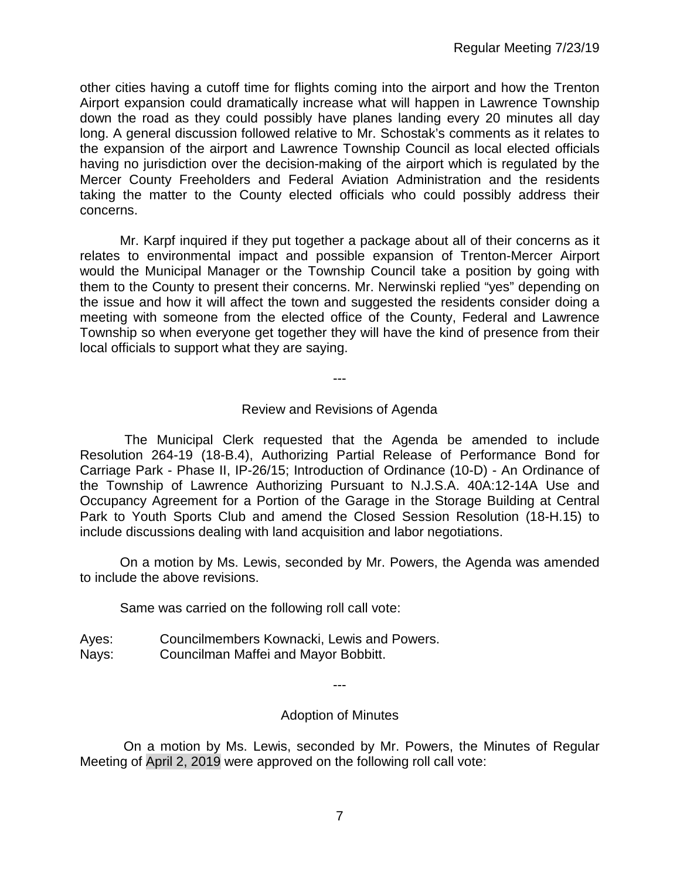other cities having a cutoff time for flights coming into the airport and how the Trenton Airport expansion could dramatically increase what will happen in Lawrence Township down the road as they could possibly have planes landing every 20 minutes all day long. A general discussion followed relative to Mr. Schostak's comments as it relates to the expansion of the airport and Lawrence Township Council as local elected officials having no jurisdiction over the decision-making of the airport which is regulated by the Mercer County Freeholders and Federal Aviation Administration and the residents taking the matter to the County elected officials who could possibly address their concerns.

Mr. Karpf inquired if they put together a package about all of their concerns as it relates to environmental impact and possible expansion of Trenton-Mercer Airport would the Municipal Manager or the Township Council take a position by going with them to the County to present their concerns. Mr. Nerwinski replied "yes" depending on the issue and how it will affect the town and suggested the residents consider doing a meeting with someone from the elected office of the County, Federal and Lawrence Township so when everyone get together they will have the kind of presence from their local officials to support what they are saying.

---

## Review and Revisions of Agenda

 The Municipal Clerk requested that the Agenda be amended to include Resolution 264-19 (18-B.4), Authorizing Partial Release of Performance Bond for Carriage Park - Phase II, IP-26/15; Introduction of Ordinance (10-D) - An Ordinance of the Township of Lawrence Authorizing Pursuant to N.J.S.A. 40A:12-14A Use and Occupancy Agreement for a Portion of the Garage in the Storage Building at Central Park to Youth Sports Club and amend the Closed Session Resolution (18-H.15) to include discussions dealing with land acquisition and labor negotiations.

On a motion by Ms. Lewis, seconded by Mr. Powers, the Agenda was amended to include the above revisions.

Same was carried on the following roll call vote:

Ayes: Councilmembers Kownacki, Lewis and Powers. Nays: Councilman Maffei and Mayor Bobbitt.

---

#### Adoption of Minutes

On a motion by Ms. Lewis, seconded by Mr. Powers, the Minutes of Regular Meeting of April 2, 2019 were approved on the following roll call vote: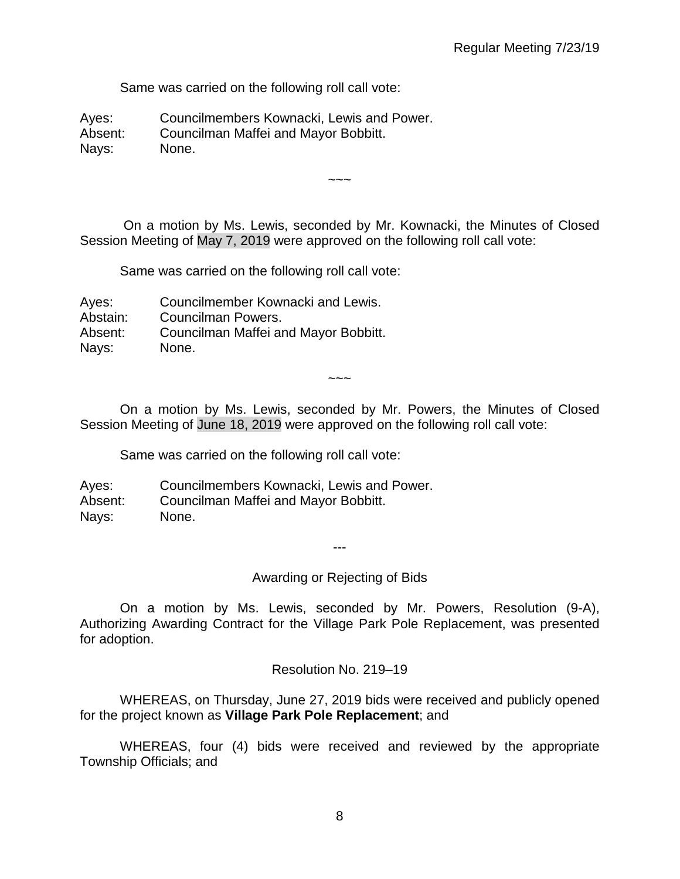Same was carried on the following roll call vote:

Ayes: Councilmembers Kownacki, Lewis and Power. Absent: Councilman Maffei and Mayor Bobbitt. Nays: None.

On a motion by Ms. Lewis, seconded by Mr. Kownacki, the Minutes of Closed Session Meeting of May 7, 2019 were approved on the following roll call vote:

 $\sim\sim\sim$ 

Same was carried on the following roll call vote:

Ayes: Councilmember Kownacki and Lewis. Abstain: Councilman Powers. Absent: Councilman Maffei and Mayor Bobbitt. Nays: None.

On a motion by Ms. Lewis, seconded by Mr. Powers, the Minutes of Closed Session Meeting of June 18, 2019 were approved on the following roll call vote:

~~~

Same was carried on the following roll call vote:

Ayes: Councilmembers Kownacki, Lewis and Power. Absent: Councilman Maffei and Mayor Bobbitt. Nays: None.

---

Awarding or Rejecting of Bids

On a motion by Ms. Lewis, seconded by Mr. Powers, Resolution (9-A), Authorizing Awarding Contract for the Village Park Pole Replacement, was presented for adoption.

Resolution No. 219–19

WHEREAS, on Thursday, June 27, 2019 bids were received and publicly opened for the project known as **Village Park Pole Replacement**; and

WHEREAS, four (4) bids were received and reviewed by the appropriate Township Officials; and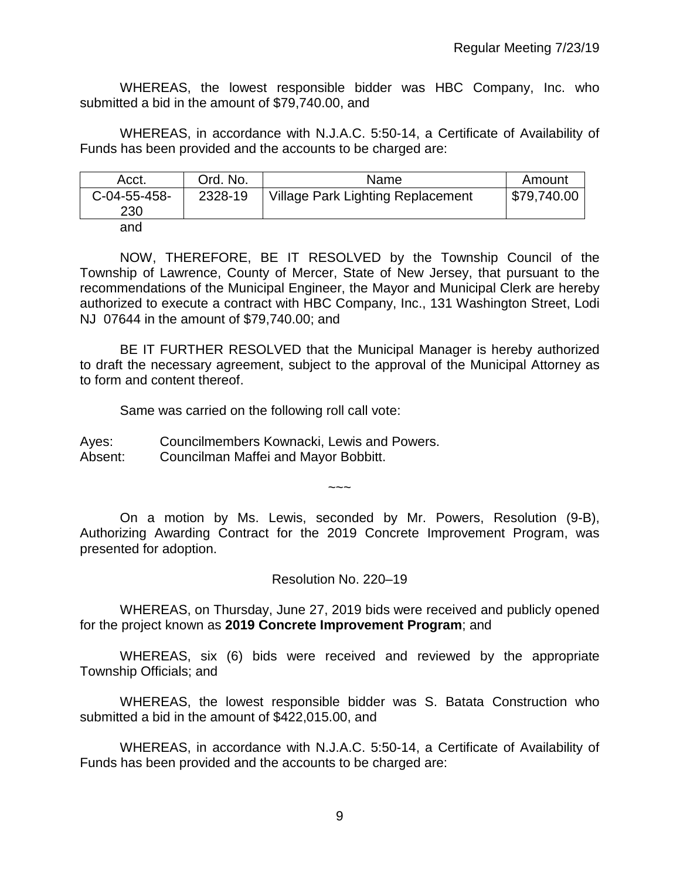WHEREAS, the lowest responsible bidder was HBC Company, Inc. who submitted a bid in the amount of \$79,740.00, and

WHEREAS, in accordance with N.J.A.C. 5:50-14, a Certificate of Availability of Funds has been provided and the accounts to be charged are:

| Acct.               | Ord. No. | Name                                     | Amount      |
|---------------------|----------|------------------------------------------|-------------|
| C-04-55-458-<br>230 | 2328-19  | <b>Village Park Lighting Replacement</b> | \$79,740.00 |
| and                 |          |                                          |             |

NOW, THEREFORE, BE IT RESOLVED by the Township Council of the Township of Lawrence, County of Mercer, State of New Jersey, that pursuant to the recommendations of the Municipal Engineer, the Mayor and Municipal Clerk are hereby authorized to execute a contract with HBC Company, Inc., 131 Washington Street, Lodi NJ 07644 in the amount of \$79,740.00; and

BE IT FURTHER RESOLVED that the Municipal Manager is hereby authorized to draft the necessary agreement, subject to the approval of the Municipal Attorney as to form and content thereof.

Same was carried on the following roll call vote:

Ayes: Councilmembers Kownacki, Lewis and Powers. Absent: Councilman Maffei and Mayor Bobbitt.

On a motion by Ms. Lewis, seconded by Mr. Powers, Resolution (9-B), Authorizing Awarding Contract for the 2019 Concrete Improvement Program, was presented for adoption.

 $\sim\sim\sim$ 

Resolution No. 220–19

WHEREAS, on Thursday, June 27, 2019 bids were received and publicly opened for the project known as **2019 Concrete Improvement Program**; and

WHEREAS, six (6) bids were received and reviewed by the appropriate Township Officials; and

WHEREAS, the lowest responsible bidder was S. Batata Construction who submitted a bid in the amount of \$422,015.00, and

WHEREAS, in accordance with N.J.A.C. 5:50-14, a Certificate of Availability of Funds has been provided and the accounts to be charged are: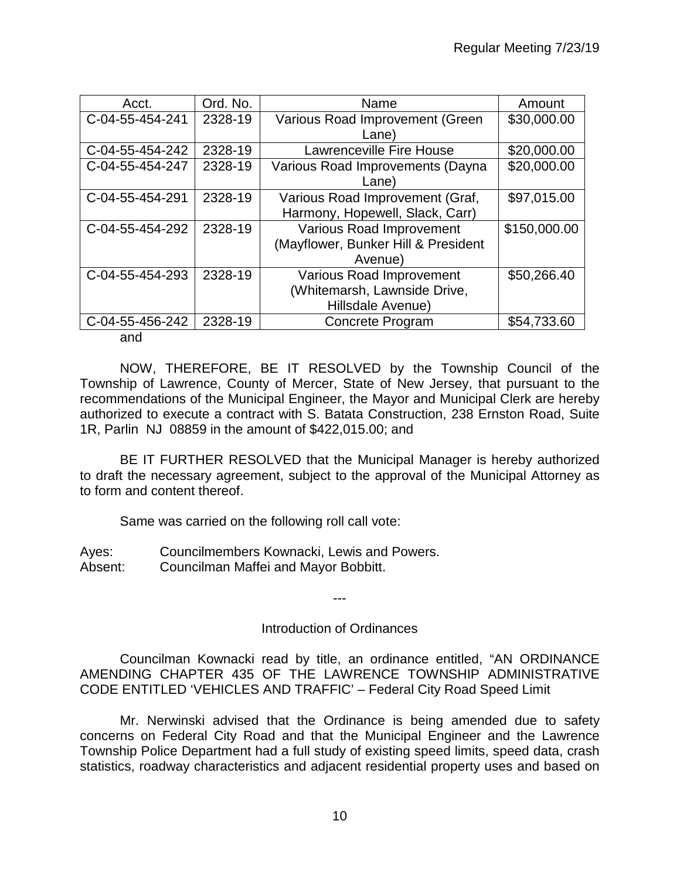| Acct.           | Ord. No. | Name                                | Amount       |
|-----------------|----------|-------------------------------------|--------------|
| C-04-55-454-241 | 2328-19  | Various Road Improvement (Green     | \$30,000.00  |
|                 |          | Lane)                               |              |
| C-04-55-454-242 | 2328-19  | <b>Lawrenceville Fire House</b>     | \$20,000.00  |
| C-04-55-454-247 | 2328-19  | Various Road Improvements (Dayna    | \$20,000.00  |
|                 |          | Lane)                               |              |
| C-04-55-454-291 | 2328-19  | Various Road Improvement (Graf,     | \$97,015.00  |
|                 |          | Harmony, Hopewell, Slack, Carr)     |              |
| C-04-55-454-292 | 2328-19  | Various Road Improvement            | \$150,000.00 |
|                 |          | (Mayflower, Bunker Hill & President |              |
|                 |          | Avenue)                             |              |
| C-04-55-454-293 | 2328-19  | <b>Various Road Improvement</b>     | \$50,266.40  |
|                 |          | (Whitemarsh, Lawnside Drive,        |              |
|                 |          | Hillsdale Avenue)                   |              |
| C-04-55-456-242 | 2328-19  | Concrete Program                    | \$54,733.60  |

and

NOW, THEREFORE, BE IT RESOLVED by the Township Council of the Township of Lawrence, County of Mercer, State of New Jersey, that pursuant to the recommendations of the Municipal Engineer, the Mayor and Municipal Clerk are hereby authorized to execute a contract with S. Batata Construction, 238 Ernston Road, Suite 1R, Parlin NJ 08859 in the amount of \$422,015.00; and

BE IT FURTHER RESOLVED that the Municipal Manager is hereby authorized to draft the necessary agreement, subject to the approval of the Municipal Attorney as to form and content thereof.

Same was carried on the following roll call vote:

Ayes: Councilmembers Kownacki, Lewis and Powers. Absent: Councilman Maffei and Mayor Bobbitt.

---

## Introduction of Ordinances

Councilman Kownacki read by title, an ordinance entitled, "AN ORDINANCE AMENDING CHAPTER 435 OF THE LAWRENCE TOWNSHIP ADMINISTRATIVE CODE ENTITLED 'VEHICLES AND TRAFFIC' – Federal City Road Speed Limit

Mr. Nerwinski advised that the Ordinance is being amended due to safety concerns on Federal City Road and that the Municipal Engineer and the Lawrence Township Police Department had a full study of existing speed limits, speed data, crash statistics, roadway characteristics and adjacent residential property uses and based on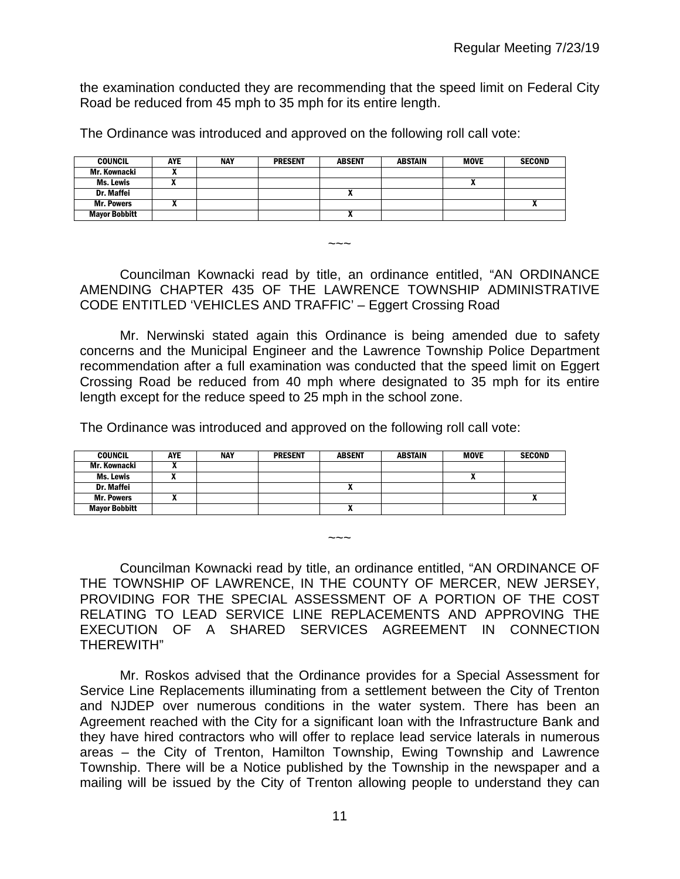the examination conducted they are recommending that the speed limit on Federal City Road be reduced from 45 mph to 35 mph for its entire length.

The Ordinance was introduced and approved on the following roll call vote:

| <b>COUNCIL</b>       | <b>AYE</b> | <b>NAY</b> | <b>PRESENT</b> | <b>ABSENT</b> | ABSTAIN | <b>MOVE</b> | <b>SECOND</b> |
|----------------------|------------|------------|----------------|---------------|---------|-------------|---------------|
| Mr. Kownacki         |            |            |                |               |         |             |               |
| <b>Ms. Lewis</b>     |            |            |                |               |         |             |               |
| Dr. Maffei           |            |            |                |               |         |             |               |
| <b>Mr. Powers</b>    |            |            |                |               |         |             |               |
| <b>Mayor Bobbitt</b> |            |            |                | $\mathbf{r}$  |         |             |               |

Councilman Kownacki read by title, an ordinance entitled, "AN ORDINANCE AMENDING CHAPTER 435 OF THE LAWRENCE TOWNSHIP ADMINISTRATIVE CODE ENTITLED 'VEHICLES AND TRAFFIC' – Eggert Crossing Road

~~~

Mr. Nerwinski stated again this Ordinance is being amended due to safety concerns and the Municipal Engineer and the Lawrence Township Police Department recommendation after a full examination was conducted that the speed limit on Eggert Crossing Road be reduced from 40 mph where designated to 35 mph for its entire length except for the reduce speed to 25 mph in the school zone.

The Ordinance was introduced and approved on the following roll call vote:

| COUNCIL              | AYE | <b>NAY</b> | <b>PRESENT</b> | <b>ABSENT</b> | <b>ABSTAIN</b> | <b>MOVE</b> | <b>SECOND</b> |
|----------------------|-----|------------|----------------|---------------|----------------|-------------|---------------|
| Mr. Kownacki         |     |            |                |               |                |             |               |
| Ms. Lewis            |     |            |                |               |                | n           |               |
| <b>Dr. Maffei</b>    |     |            |                |               |                |             |               |
| <b>Mr. Powers</b>    |     |            |                |               |                |             |               |
| <b>Mayor Bobbitt</b> |     |            |                |               |                |             |               |

Councilman Kownacki read by title, an ordinance entitled, "AN ORDINANCE OF THE TOWNSHIP OF LAWRENCE, IN THE COUNTY OF MERCER, NEW JERSEY, PROVIDING FOR THE SPECIAL ASSESSMENT OF A PORTION OF THE COST RELATING TO LEAD SERVICE LINE REPLACEMENTS AND APPROVING THE EXECUTION OF A SHARED SERVICES AGREEMENT IN CONNECTION THEREWITH"

 $\sim\sim\sim$ 

Mr. Roskos advised that the Ordinance provides for a Special Assessment for Service Line Replacements illuminating from a settlement between the City of Trenton and NJDEP over numerous conditions in the water system. There has been an Agreement reached with the City for a significant loan with the Infrastructure Bank and they have hired contractors who will offer to replace lead service laterals in numerous areas – the City of Trenton, Hamilton Township, Ewing Township and Lawrence Township. There will be a Notice published by the Township in the newspaper and a mailing will be issued by the City of Trenton allowing people to understand they can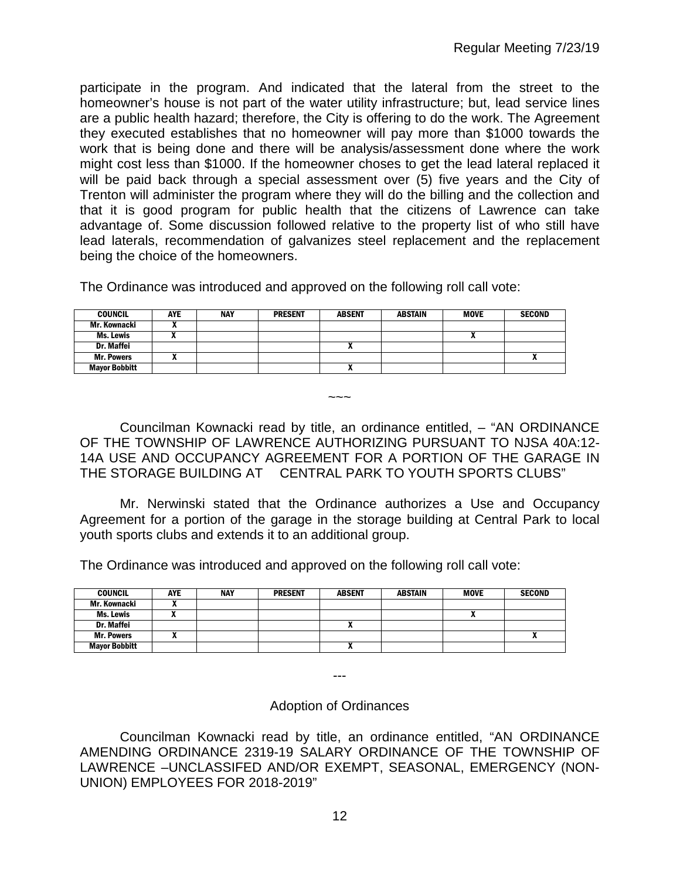participate in the program. And indicated that the lateral from the street to the homeowner's house is not part of the water utility infrastructure; but, lead service lines are a public health hazard; therefore, the City is offering to do the work. The Agreement they executed establishes that no homeowner will pay more than \$1000 towards the work that is being done and there will be analysis/assessment done where the work might cost less than \$1000. If the homeowner choses to get the lead lateral replaced it will be paid back through a special assessment over (5) five years and the City of Trenton will administer the program where they will do the billing and the collection and that it is good program for public health that the citizens of Lawrence can take advantage of. Some discussion followed relative to the property list of who still have lead laterals, recommendation of galvanizes steel replacement and the replacement being the choice of the homeowners.

The Ordinance was introduced and approved on the following roll call vote:

| <b>COUNCIL</b>       | AYE | <b>NAY</b> | <b>PRESENT</b> | <b>ABSENT</b> | <b>ABSTAIN</b> | <b>MOVE</b> | <b>SECOND</b> |
|----------------------|-----|------------|----------------|---------------|----------------|-------------|---------------|
| Mr. Kownacki         |     |            |                |               |                |             |               |
| Ms. Lewis            |     |            |                |               |                |             |               |
| <b>Dr. Maffei</b>    |     |            |                | ^             |                |             |               |
| <b>Mr. Powers</b>    |     |            |                |               |                |             |               |
| <b>Mayor Bobbitt</b> |     |            |                |               |                |             |               |

Councilman Kownacki read by title, an ordinance entitled, – "AN ORDINANCE OF THE TOWNSHIP OF LAWRENCE AUTHORIZING PURSUANT TO NJSA 40A:12- 14A USE AND OCCUPANCY AGREEMENT FOR A PORTION OF THE GARAGE IN THE STORAGE BUILDING AT CENTRAL PARK TO YOUTH SPORTS CLUBS"

 $\sim\sim\sim$ 

Mr. Nerwinski stated that the Ordinance authorizes a Use and Occupancy Agreement for a portion of the garage in the storage building at Central Park to local youth sports clubs and extends it to an additional group.

The Ordinance was introduced and approved on the following roll call vote:

| <b>COUNCIL</b>       | AYE | NAY | <b>PRESENT</b> | <b>ABSENT</b> | <b>ABSTAIN</b> | <b>MOVE</b> | <b>SECOND</b> |
|----------------------|-----|-----|----------------|---------------|----------------|-------------|---------------|
| Mr. Kownacki         |     |     |                |               |                |             |               |
| Ms. Lewis            |     |     |                |               |                |             |               |
| Dr. Maffei           |     |     |                |               |                |             |               |
| <b>Mr. Powers</b>    |     |     |                |               |                |             |               |
| <b>Mayor Bobbitt</b> |     |     |                | $\mathbf{r}$  |                |             |               |

---

Adoption of Ordinances

Councilman Kownacki read by title, an ordinance entitled, "AN ORDINANCE AMENDING ORDINANCE 2319-19 SALARY ORDINANCE OF THE TOWNSHIP OF LAWRENCE –UNCLASSIFED AND/OR EXEMPT, SEASONAL, EMERGENCY (NON-UNION) EMPLOYEES FOR 2018-2019"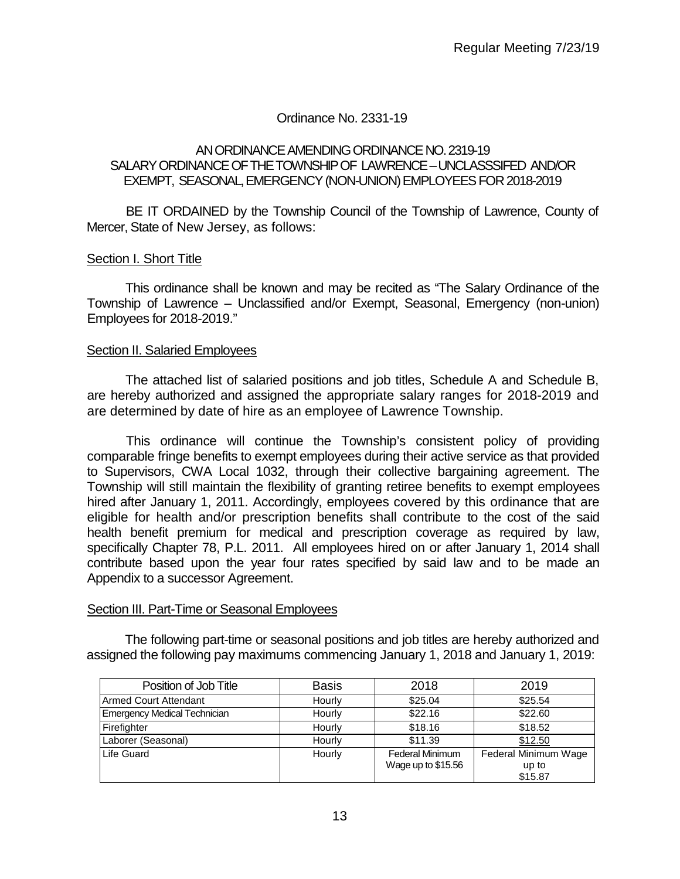## Ordinance No. 2331-19

### AN ORDINANCE AMENDING ORDINANCE NO. 2319-19 SALARY ORDINANCE OF THE TOWNSHIP OF LAWRENCE –UNCLASSSIFED AND/OR EXEMPT, SEASONAL,EMERGENCY (NON-UNION) EMPLOYEES FOR 2018-2019

BE IT ORDAINED by the Township Council of the Township of Lawrence, County of Mercer, State of New Jersey, as follows:

### Section I. Short Title

This ordinance shall be known and may be recited as "The Salary Ordinance of the Township of Lawrence – Unclassified and/or Exempt, Seasonal, Emergency (non-union) Employees for 2018-2019."

#### Section II. Salaried Employees

The attached list of salaried positions and job titles, Schedule A and Schedule B, are hereby authorized and assigned the appropriate salary ranges for 2018-2019 and are determined by date of hire as an employee of Lawrence Township.

This ordinance will continue the Township's consistent policy of providing comparable fringe benefits to exempt employees during their active service as that provided to Supervisors, CWA Local 1032, through their collective bargaining agreement. The Township will still maintain the flexibility of granting retiree benefits to exempt employees hired after January 1, 2011. Accordingly, employees covered by this ordinance that are eligible for health and/or prescription benefits shall contribute to the cost of the said health benefit premium for medical and prescription coverage as required by law, specifically Chapter 78, P.L. 2011. All employees hired on or after January 1, 2014 shall contribute based upon the year four rates specified by said law and to be made an Appendix to a successor Agreement.

#### Section III. Part-Time or Seasonal Employees

The following part-time or seasonal positions and job titles are hereby authorized and assigned the following pay maximums commencing January 1, 2018 and January 1, 2019:

| Position of Job Title        | <b>Basis</b> | 2018                | 2019                 |
|------------------------------|--------------|---------------------|----------------------|
| Armed Court Attendant        | Hourly       | \$25.04             | \$25.54              |
| Emergency Medical Technician | Hourly       | \$22.16             | \$22.60              |
| Firefighter                  | Hourly       | \$18.16             | \$18.52              |
| Laborer (Seasonal)           | Hourly       | \$11.39             | \$12.50              |
| Life Guard                   | Hourly       | Federal Minimum     | Federal Minimum Wage |
|                              |              | Wage up to $$15.56$ | up to                |
|                              |              |                     | \$15.87              |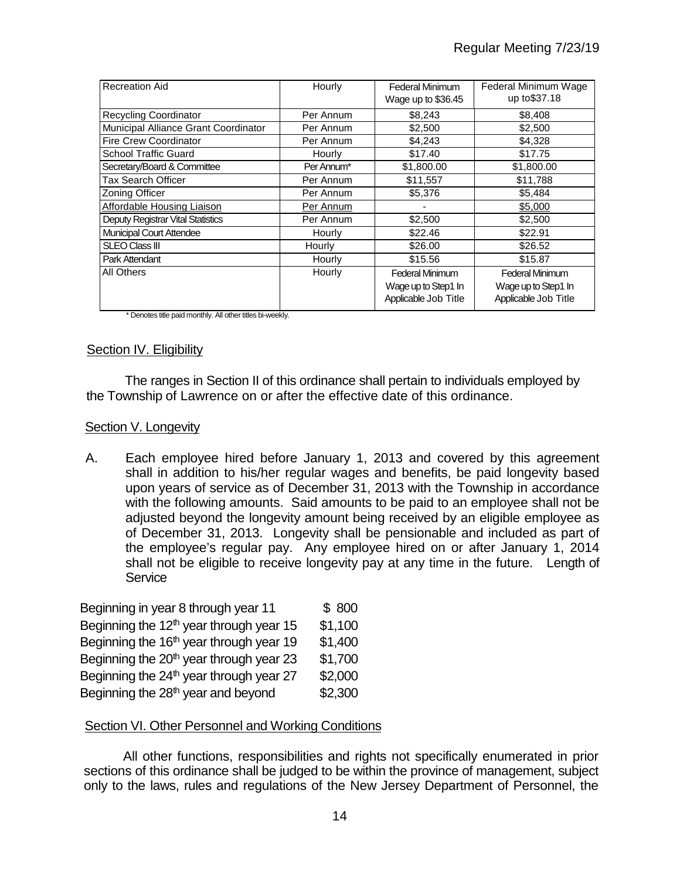| <b>Recreation Aid</b>                | Hourly        | Federal Minimum<br>Wage up to \$36.45 | Federal Minimum Wage<br>up to \$37.18 |
|--------------------------------------|---------------|---------------------------------------|---------------------------------------|
| <b>Recycling Coordinator</b>         | Per Annum     | \$8,243                               | \$8,408                               |
| Municipal Alliance Grant Coordinator | Per Annum     | \$2,500                               | \$2,500                               |
| <b>Fire Crew Coordinator</b>         | Per Annum     | \$4,243                               | \$4,328                               |
| <b>School Traffic Guard</b>          | Hourly        | \$17.40                               | \$17.75                               |
| Secretary/Board & Committee          | Per Annum*    | \$1,800.00                            | \$1,800.00                            |
| <b>Tax Search Officer</b>            | Per Annum     | \$11,557                              | \$11,788                              |
| <b>Zoning Officer</b>                | Per Annum     | \$5,376                               | \$5,484                               |
| Affordable Housing Liaison           | Per Annum     |                                       | \$5,000                               |
| Deputy Registrar Vital Statistics    | Per Annum     | \$2,500                               | \$2,500                               |
| <b>Municipal Court Attendee</b>      | <b>Hourly</b> | \$22.46                               | \$22.91                               |
| <b>SLEO Class III</b>                | Hourly        | \$26.00                               | \$26.52                               |
| Park Attendant                       | Hourly        | \$15.56                               | \$15.87                               |
| All Others                           | Hourly        | <b>Federal Minimum</b>                | <b>Federal Minimum</b>                |
|                                      |               | Wage up to Step1 In                   | Wage up to Step1 In                   |
|                                      |               | Applicable Job Title                  | Applicable Job Title                  |

\* Denotes title paid monthly. All other titles bi-weekly.

### Section IV. Eligibility

The ranges in Section II of this ordinance shall pertain to individuals employed by the Township of Lawrence on or after the effective date of this ordinance.

#### Section V. Longevity

A. Each employee hired before January 1, 2013 and covered by this agreement shall in addition to his/her regular wages and benefits, be paid longevity based upon years of service as of December 31, 2013 with the Township in accordance with the following amounts. Said amounts to be paid to an employee shall not be adjusted beyond the longevity amount being received by an eligible employee as of December 31, 2013. Longevity shall be pensionable and included as part of the employee's regular pay. Any employee hired on or after January 1, 2014 shall not be eligible to receive longevity pay at any time in the future. Length of **Service** 

| Beginning in year 8 through year 11                 | \$800   |
|-----------------------------------------------------|---------|
| Beginning the $12th$ year through year 15           | \$1,100 |
| Beginning the 16 <sup>th</sup> year through year 19 | \$1,400 |
| Beginning the 20 <sup>th</sup> year through year 23 | \$1,700 |
| Beginning the 24 <sup>th</sup> year through year 27 | \$2,000 |
| Beginning the 28 <sup>th</sup> year and beyond      | \$2,300 |

## Section VI. Other Personnel and Working Conditions

All other functions, responsibilities and rights not specifically enumerated in prior sections of this ordinance shall be judged to be within the province of management, subject only to the laws, rules and regulations of the New Jersey Department of Personnel, the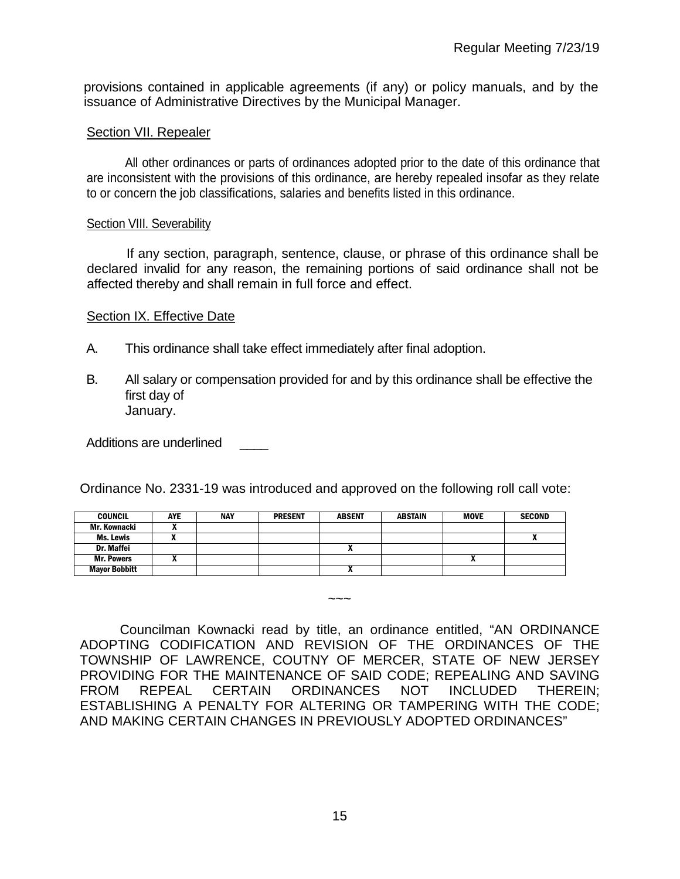provisions contained in applicable agreements (if any) or policy manuals, and by the issuance of Administrative Directives by the Municipal Manager.

### Section VII. Repealer

All other ordinances or parts of ordinances adopted prior to the date of this ordinance that are inconsistent with the provisions of this ordinance, are hereby repealed insofar as they relate to or concern the job classifications, salaries and benefits listed in this ordinance.

#### Section VIII. Severability

If any section, paragraph, sentence, clause, or phrase of this ordinance shall be declared invalid for any reason, the remaining portions of said ordinance shall not be affected thereby and shall remain in full force and effect.

## Section IX. Effective Date

- A. This ordinance shall take effect immediately after final adoption.
- B. All salary or compensation provided for and by this ordinance shall be effective the first day of January.

Additions are underlined

Ordinance No. 2331-19 was introduced and approved on the following roll call vote:

| <b>COUNCIL</b>       | AYE | <b>NAY</b> | <b>PRESENT</b> | <b>ABSENT</b> | <b>ABSTAIN</b> | <b>MOVE</b> | <b>SECOND</b> |
|----------------------|-----|------------|----------------|---------------|----------------|-------------|---------------|
| Mr. Kownacki         |     |            |                |               |                |             |               |
| Ms. Lewis            | ,,  |            |                |               |                |             |               |
| <b>Dr. Maffei</b>    |     |            |                |               |                |             |               |
| <b>Mr. Powers</b>    |     |            |                |               |                | n           |               |
| <b>Mayor Bobbitt</b> |     |            |                |               |                |             |               |

Councilman Kownacki read by title, an ordinance entitled, "AN ORDINANCE ADOPTING CODIFICATION AND REVISION OF THE ORDINANCES OF THE TOWNSHIP OF LAWRENCE, COUTNY OF MERCER, STATE OF NEW JERSEY PROVIDING FOR THE MAINTENANCE OF SAID CODE; REPEALING AND SAVING<br>FROM REPEAL CERTAIN ORDINANCES NOT INCLUDED THEREIN; FROM REPEAL CERTAIN ORDINANCES NOT INCLUDED THEREIN; ESTABLISHING A PENALTY FOR ALTERING OR TAMPERING WITH THE CODE; AND MAKING CERTAIN CHANGES IN PREVIOUSLY ADOPTED ORDINANCES"

 $\sim\sim\sim$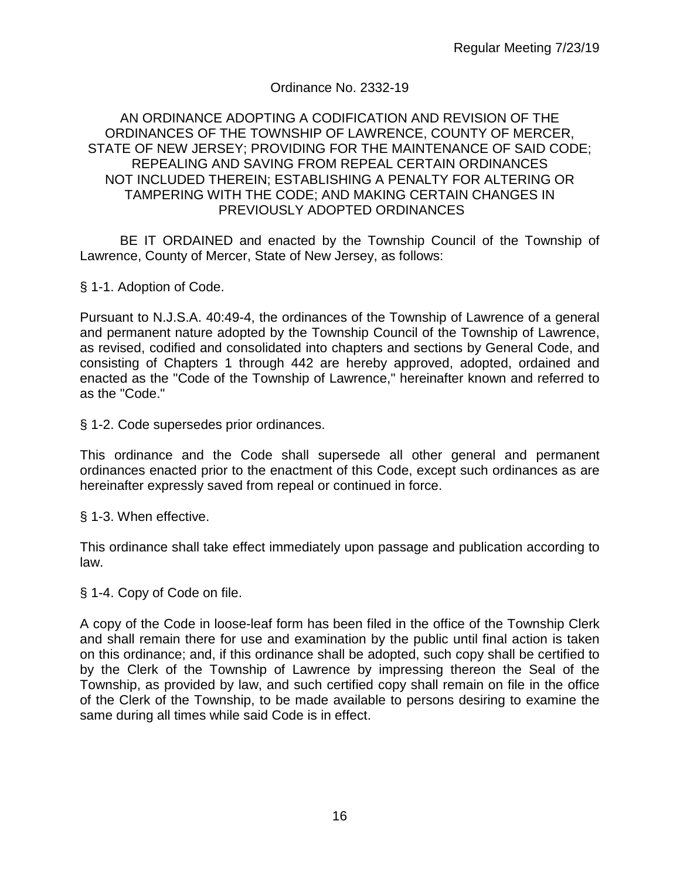# Ordinance No. 2332-19

### AN ORDINANCE ADOPTING A CODIFICATION AND REVISION OF THE ORDINANCES OF THE TOWNSHIP OF LAWRENCE, COUNTY OF MERCER, STATE OF NEW JERSEY; PROVIDING FOR THE MAINTENANCE OF SAID CODE; REPEALING AND SAVING FROM REPEAL CERTAIN ORDINANCES NOT INCLUDED THEREIN; ESTABLISHING A PENALTY FOR ALTERING OR TAMPERING WITH THE CODE; AND MAKING CERTAIN CHANGES IN PREVIOUSLY ADOPTED ORDINANCES

BE IT ORDAINED and enacted by the Township Council of the Township of Lawrence, County of Mercer, State of New Jersey, as follows:

§ 1-1. Adoption of Code.

Pursuant to N.J.S.A. 40:49-4, the ordinances of the Township of Lawrence of a general and permanent nature adopted by the Township Council of the Township of Lawrence, as revised, codified and consolidated into chapters and sections by General Code, and consisting of Chapters 1 through 442 are hereby approved, adopted, ordained and enacted as the "Code of the Township of Lawrence," hereinafter known and referred to as the "Code."

§ 1-2. Code supersedes prior ordinances.

This ordinance and the Code shall supersede all other general and permanent ordinances enacted prior to the enactment of this Code, except such ordinances as are hereinafter expressly saved from repeal or continued in force.

§ 1-3. When effective.

This ordinance shall take effect immediately upon passage and publication according to law.

§ 1-4. Copy of Code on file.

A copy of the Code in loose-leaf form has been filed in the office of the Township Clerk and shall remain there for use and examination by the public until final action is taken on this ordinance; and, if this ordinance shall be adopted, such copy shall be certified to by the Clerk of the Township of Lawrence by impressing thereon the Seal of the Township, as provided by law, and such certified copy shall remain on file in the office of the Clerk of the Township, to be made available to persons desiring to examine the same during all times while said Code is in effect.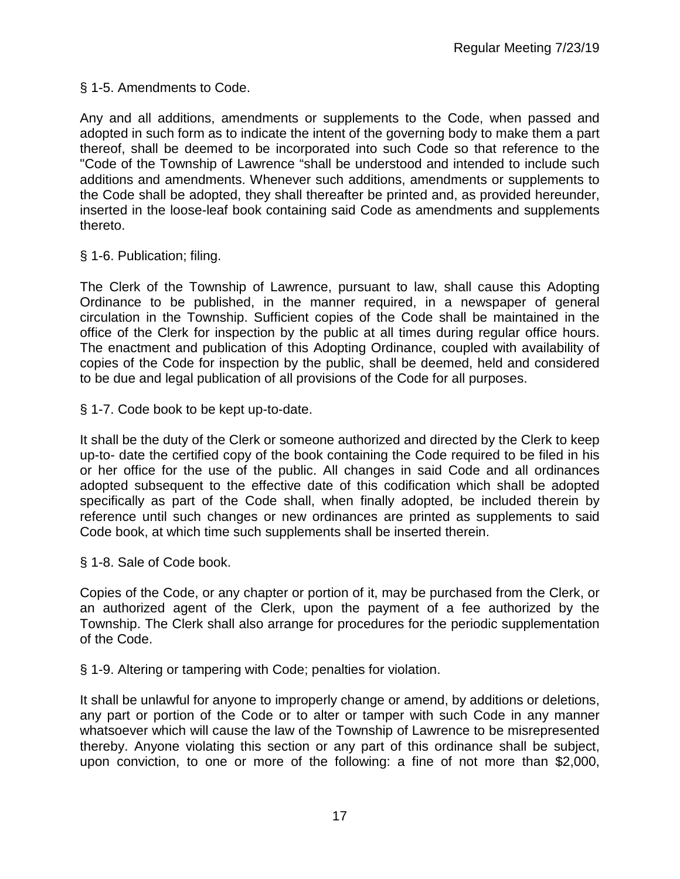§ 1-5. Amendments to Code.

Any and all additions, amendments or supplements to the Code, when passed and adopted in such form as to indicate the intent of the governing body to make them a part thereof, shall be deemed to be incorporated into such Code so that reference to the "Code of the Township of Lawrence "shall be understood and intended to include such additions and amendments. Whenever such additions, amendments or supplements to the Code shall be adopted, they shall thereafter be printed and, as provided hereunder, inserted in the loose-leaf book containing said Code as amendments and supplements thereto.

§ 1-6. Publication; filing.

The Clerk of the Township of Lawrence, pursuant to law, shall cause this Adopting Ordinance to be published, in the manner required, in a newspaper of general circulation in the Township. Sufficient copies of the Code shall be maintained in the office of the Clerk for inspection by the public at all times during regular office hours. The enactment and publication of this Adopting Ordinance, coupled with availability of copies of the Code for inspection by the public, shall be deemed, held and considered to be due and legal publication of all provisions of the Code for all purposes.

§ 1-7. Code book to be kept up-to-date.

It shall be the duty of the Clerk or someone authorized and directed by the Clerk to keep up-to- date the certified copy of the book containing the Code required to be filed in his or her office for the use of the public. All changes in said Code and all ordinances adopted subsequent to the effective date of this codification which shall be adopted specifically as part of the Code shall, when finally adopted, be included therein by reference until such changes or new ordinances are printed as supplements to said Code book, at which time such supplements shall be inserted therein.

§ 1-8. Sale of Code book.

Copies of the Code, or any chapter or portion of it, may be purchased from the Clerk, or an authorized agent of the Clerk, upon the payment of a fee authorized by the Township. The Clerk shall also arrange for procedures for the periodic supplementation of the Code.

§ 1-9. Altering or tampering with Code; penalties for violation.

It shall be unlawful for anyone to improperly change or amend, by additions or deletions, any part or portion of the Code or to alter or tamper with such Code in any manner whatsoever which will cause the law of the Township of Lawrence to be misrepresented thereby. Anyone violating this section or any part of this ordinance shall be subject, upon conviction, to one or more of the following: a fine of not more than \$2,000,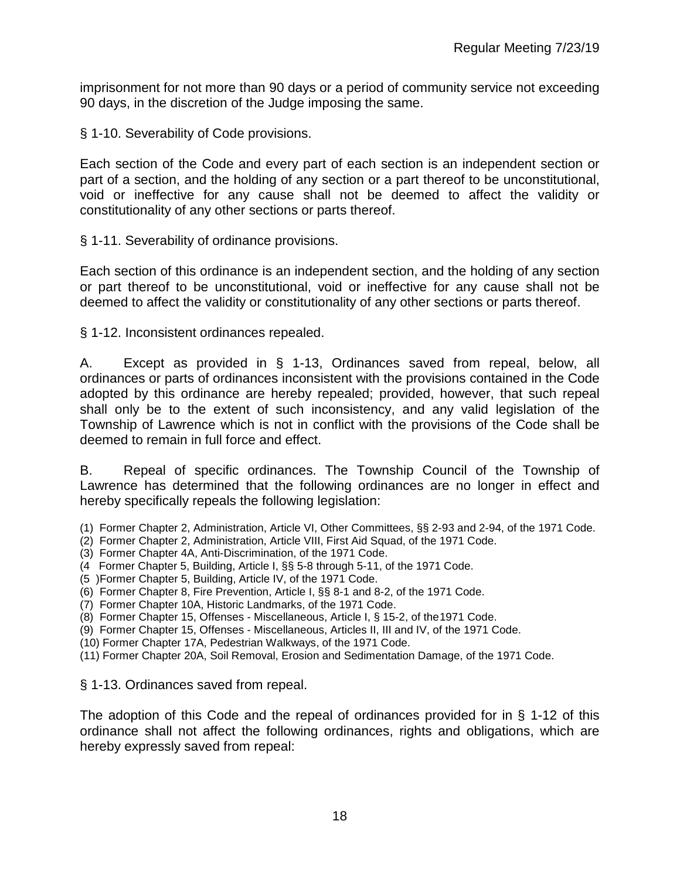imprisonment for not more than 90 days or a period of community service not exceeding 90 days, in the discretion of the Judge imposing the same.

§ 1-10. Severability of Code provisions.

Each section of the Code and every part of each section is an independent section or part of a section, and the holding of any section or a part thereof to be unconstitutional, void or ineffective for any cause shall not be deemed to affect the validity or constitutionality of any other sections or parts thereof.

§ 1-11. Severability of ordinance provisions.

Each section of this ordinance is an independent section, and the holding of any section or part thereof to be unconstitutional, void or ineffective for any cause shall not be deemed to affect the validity or constitutionality of any other sections or parts thereof.

§ 1-12. Inconsistent ordinances repealed.

A. Except as provided in § 1-13, Ordinances saved from repeal, below, all ordinances or parts of ordinances inconsistent with the provisions contained in the Code adopted by this ordinance are hereby repealed; provided, however, that such repeal shall only be to the extent of such inconsistency, and any valid legislation of the Township of Lawrence which is not in conflict with the provisions of the Code shall be deemed to remain in full force and effect.

B. Repeal of specific ordinances. The Township Council of the Township of Lawrence has determined that the following ordinances are no longer in effect and hereby specifically repeals the following legislation:

(1) Former Chapter 2, Administration, Article VI, Other Committees, §§ 2-93 and 2-94, of the 1971 Code.

- (2) Former Chapter 2, Administration, Article VIII, First Aid Squad, of the 1971 Code.
- (3) Former Chapter 4A, Anti-Discrimination, of the 1971 Code.
- (4 Former Chapter 5, Building, Article I, §§ 5-8 through 5-11, of the 1971 Code.
- (5 )Former Chapter 5, Building, Article IV, of the 1971 Code.
- (6) Former Chapter 8, Fire Prevention, Article I, §§ 8-1 and 8-2, of the 1971 Code.
- (7) Former Chapter 10A, Historic Landmarks, of the 1971 Code.
- (8) Former Chapter 15, Offenses Miscellaneous, Article I, § 15-2, of the1971 Code.
- (9) Former Chapter 15, Offenses Miscellaneous, Articles II, III and IV, of the 1971 Code.
- (10) Former Chapter 17A, Pedestrian Walkways, of the 1971 Code.
- (11) Former Chapter 20A, Soil Removal, Erosion and Sedimentation Damage, of the 1971 Code.

§ 1-13. Ordinances saved from repeal.

The adoption of this Code and the repeal of ordinances provided for in § 1-12 of this ordinance shall not affect the following ordinances, rights and obligations, which are hereby expressly saved from repeal: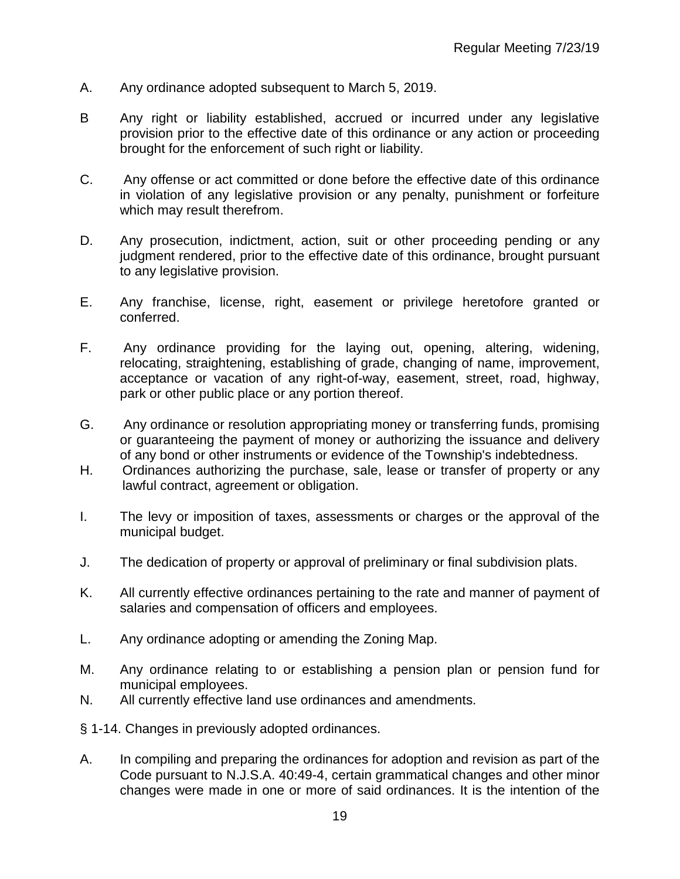- A. Any ordinance adopted subsequent to March 5, 2019.
- B Any right or liability established, accrued or incurred under any legislative provision prior to the effective date of this ordinance or any action or proceeding brought for the enforcement of such right or liability.
- C. Any offense or act committed or done before the effective date of this ordinance in violation of any legislative provision or any penalty, punishment or forfeiture which may result therefrom.
- D. Any prosecution, indictment, action, suit or other proceeding pending or any judgment rendered, prior to the effective date of this ordinance, brought pursuant to any legislative provision.
- E. Any franchise, license, right, easement or privilege heretofore granted or conferred.
- F. Any ordinance providing for the laying out, opening, altering, widening, relocating, straightening, establishing of grade, changing of name, improvement, acceptance or vacation of any right-of-way, easement, street, road, highway, park or other public place or any portion thereof.
- G. Any ordinance or resolution appropriating money or transferring funds, promising or guaranteeing the payment of money or authorizing the issuance and delivery of any bond or other instruments or evidence of the Township's indebtedness.
- H. Ordinances authorizing the purchase, sale, lease or transfer of property or any lawful contract, agreement or obligation.
- I. The levy or imposition of taxes, assessments or charges or the approval of the municipal budget.
- J. The dedication of property or approval of preliminary or final subdivision plats.
- K. All currently effective ordinances pertaining to the rate and manner of payment of salaries and compensation of officers and employees.
- L. Any ordinance adopting or amending the Zoning Map.
- M. Any ordinance relating to or establishing a pension plan or pension fund for municipal employees.
- N. All currently effective land use ordinances and amendments.
- § 1-14. Changes in previously adopted ordinances.
- A. In compiling and preparing the ordinances for adoption and revision as part of the Code pursuant to N.J.S.A. 40:49-4, certain grammatical changes and other minor changes were made in one or more of said ordinances. It is the intention of the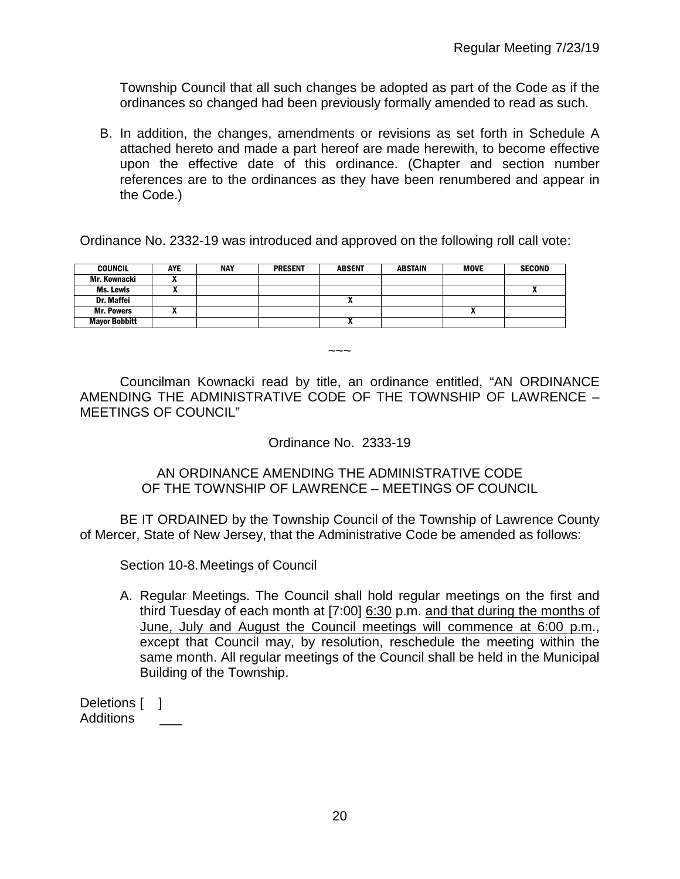Township Council that all such changes be adopted as part of the Code as if the ordinances so changed had been previously formally amended to read as such.

B. In addition, the changes, amendments or revisions as set forth in Schedule A attached hereto and made a part hereof are made herewith, to become effective upon the effective date of this ordinance. (Chapter and section number references are to the ordinances as they have been renumbered and appear in the Code.)

Ordinance No. 2332-19 was introduced and approved on the following roll call vote:

| <b>COUNCIL</b>       | <b>AYE</b> | <b>NAY</b> | <b>PRESENT</b> | <b>ABSENT</b>            | ABSTAIN | MOVE                       | <b>SECOND</b> |
|----------------------|------------|------------|----------------|--------------------------|---------|----------------------------|---------------|
| Mr. Kownacki         |            |            |                |                          |         |                            |               |
| Ms. Lewis            |            |            |                |                          |         |                            |               |
| Dr. Maffei           |            |            |                |                          |         |                            |               |
| <b>Mr. Powers</b>    | . .        |            |                |                          |         | $\boldsymbol{\mathcal{L}}$ |               |
| <b>Mayor Bobbitt</b> |            |            |                | $\overline{\phantom{a}}$ |         |                            |               |

 $\sim\sim\sim$ 

Councilman Kownacki read by title, an ordinance entitled, "AN ORDINANCE AMENDING THE ADMINISTRATIVE CODE OF THE TOWNSHIP OF LAWRENCE – MEETINGS OF COUNCIL"

Ordinance No. 2333-19

AN ORDINANCE AMENDING THE ADMINISTRATIVE CODE OF THE TOWNSHIP OF LAWRENCE – MEETINGS OF COUNCIL

BE IT ORDAINED by the Township Council of the Township of Lawrence County of Mercer, State of New Jersey, that the Administrative Code be amended as follows:

Section 10-8.Meetings of Council

A. Regular Meetings. The Council shall hold regular meetings on the first and third Tuesday of each month at [7:00] 6:30 p.m. and that during the months of June, July and August the Council meetings will commence at 6:00 p.m., except that Council may, by resolution, reschedule the meeting within the same month. All regular meetings of the Council shall be held in the Municipal Building of the Township.

Deletions [ ] Additions \_\_\_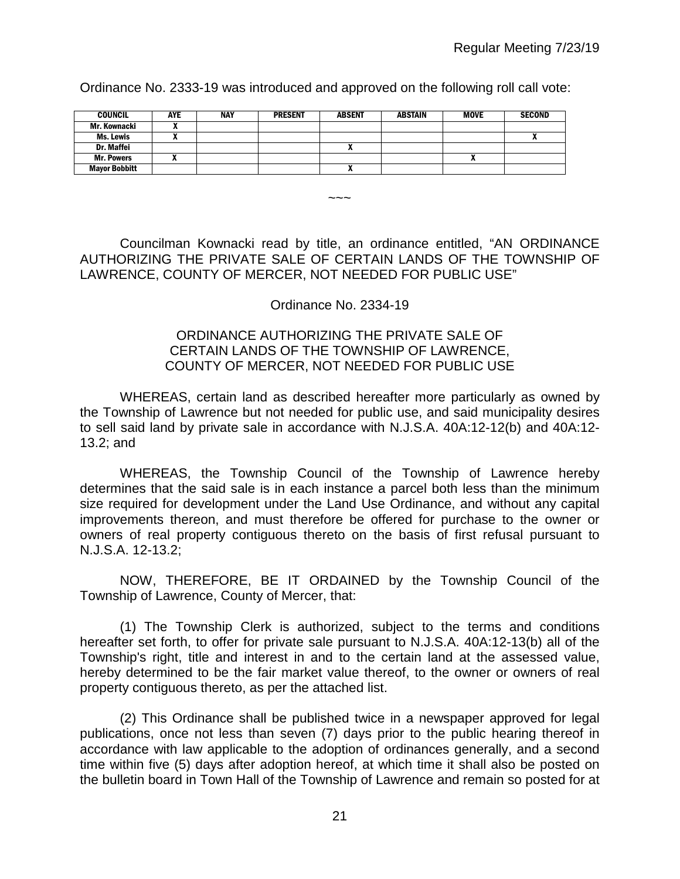Ordinance No. 2333-19 was introduced and approved on the following roll call vote:

| <b>COUNCIL</b>       | <b>AYE</b> | <b>NAY</b> | <b>PRESENT</b> | <b>ABSENT</b> | <b>ABSTAIN</b> | <b>MOVE</b> | <b>SECOND</b> |
|----------------------|------------|------------|----------------|---------------|----------------|-------------|---------------|
| Mr. Kownacki         |            |            |                |               |                |             |               |
| Ms. Lewis            |            |            |                |               |                |             | ^             |
| Dr. Maffei           |            |            |                |               |                |             |               |
| <b>Mr. Powers</b>    |            |            |                |               |                |             |               |
| <b>Mayor Bobbitt</b> |            |            |                | ^             |                |             |               |

 $\sim\sim\sim$ 

Councilman Kownacki read by title, an ordinance entitled, "AN ORDINANCE AUTHORIZING THE PRIVATE SALE OF CERTAIN LANDS OF THE TOWNSHIP OF LAWRENCE, COUNTY OF MERCER, NOT NEEDED FOR PUBLIC USE"

### Ordinance No. 2334-19

## ORDINANCE AUTHORIZING THE PRIVATE SALE OF CERTAIN LANDS OF THE TOWNSHIP OF LAWRENCE, COUNTY OF MERCER, NOT NEEDED FOR PUBLIC USE

WHEREAS, certain land as described hereafter more particularly as owned by the Township of Lawrence but not needed for public use, and said municipality desires to sell said land by private sale in accordance with N.J.S.A. 40A:12-12(b) and 40A:12- 13.2; and

WHEREAS, the Township Council of the Township of Lawrence hereby determines that the said sale is in each instance a parcel both less than the minimum size required for development under the Land Use Ordinance, and without any capital improvements thereon, and must therefore be offered for purchase to the owner or owners of real property contiguous thereto on the basis of first refusal pursuant to N.J.S.A. 12-13.2;

NOW, THEREFORE, BE IT ORDAINED by the Township Council of the Township of Lawrence, County of Mercer, that:

(1) The Township Clerk is authorized, subject to the terms and conditions hereafter set forth, to offer for private sale pursuant to N.J.S.A. 40A:12-13(b) all of the Township's right, title and interest in and to the certain land at the assessed value, hereby determined to be the fair market value thereof, to the owner or owners of real property contiguous thereto, as per the attached list.

(2) This Ordinance shall be published twice in a newspaper approved for legal publications, once not less than seven (7) days prior to the public hearing thereof in accordance with law applicable to the adoption of ordinances generally, and a second time within five (5) days after adoption hereof, at which time it shall also be posted on the bulletin board in Town Hall of the Township of Lawrence and remain so posted for at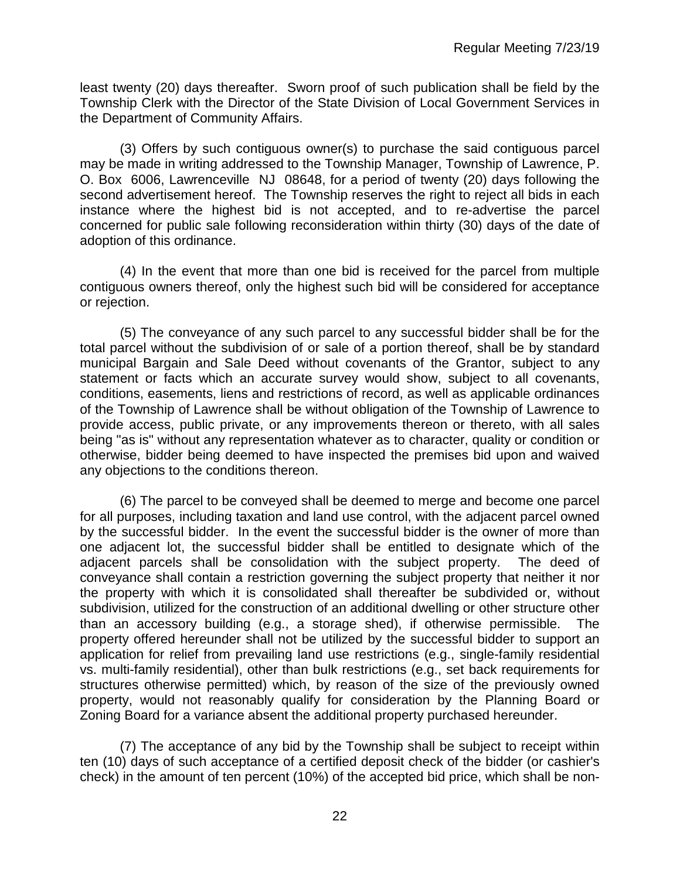least twenty (20) days thereafter. Sworn proof of such publication shall be field by the Township Clerk with the Director of the State Division of Local Government Services in the Department of Community Affairs.

(3) Offers by such contiguous owner(s) to purchase the said contiguous parcel may be made in writing addressed to the Township Manager, Township of Lawrence, P. O. Box 6006, Lawrenceville NJ 08648, for a period of twenty (20) days following the second advertisement hereof. The Township reserves the right to reject all bids in each instance where the highest bid is not accepted, and to re-advertise the parcel concerned for public sale following reconsideration within thirty (30) days of the date of adoption of this ordinance.

(4) In the event that more than one bid is received for the parcel from multiple contiguous owners thereof, only the highest such bid will be considered for acceptance or rejection.

(5) The conveyance of any such parcel to any successful bidder shall be for the total parcel without the subdivision of or sale of a portion thereof, shall be by standard municipal Bargain and Sale Deed without covenants of the Grantor, subject to any statement or facts which an accurate survey would show, subject to all covenants, conditions, easements, liens and restrictions of record, as well as applicable ordinances of the Township of Lawrence shall be without obligation of the Township of Lawrence to provide access, public private, or any improvements thereon or thereto, with all sales being "as is" without any representation whatever as to character, quality or condition or otherwise, bidder being deemed to have inspected the premises bid upon and waived any objections to the conditions thereon.

(6) The parcel to be conveyed shall be deemed to merge and become one parcel for all purposes, including taxation and land use control, with the adjacent parcel owned by the successful bidder. In the event the successful bidder is the owner of more than one adjacent lot, the successful bidder shall be entitled to designate which of the adjacent parcels shall be consolidation with the subject property. The deed of conveyance shall contain a restriction governing the subject property that neither it nor the property with which it is consolidated shall thereafter be subdivided or, without subdivision, utilized for the construction of an additional dwelling or other structure other than an accessory building (e.g., a storage shed), if otherwise permissible. The property offered hereunder shall not be utilized by the successful bidder to support an application for relief from prevailing land use restrictions (e.g., single-family residential vs. multi-family residential), other than bulk restrictions (e.g., set back requirements for structures otherwise permitted) which, by reason of the size of the previously owned property, would not reasonably qualify for consideration by the Planning Board or Zoning Board for a variance absent the additional property purchased hereunder.

(7) The acceptance of any bid by the Township shall be subject to receipt within ten (10) days of such acceptance of a certified deposit check of the bidder (or cashier's check) in the amount of ten percent (10%) of the accepted bid price, which shall be non-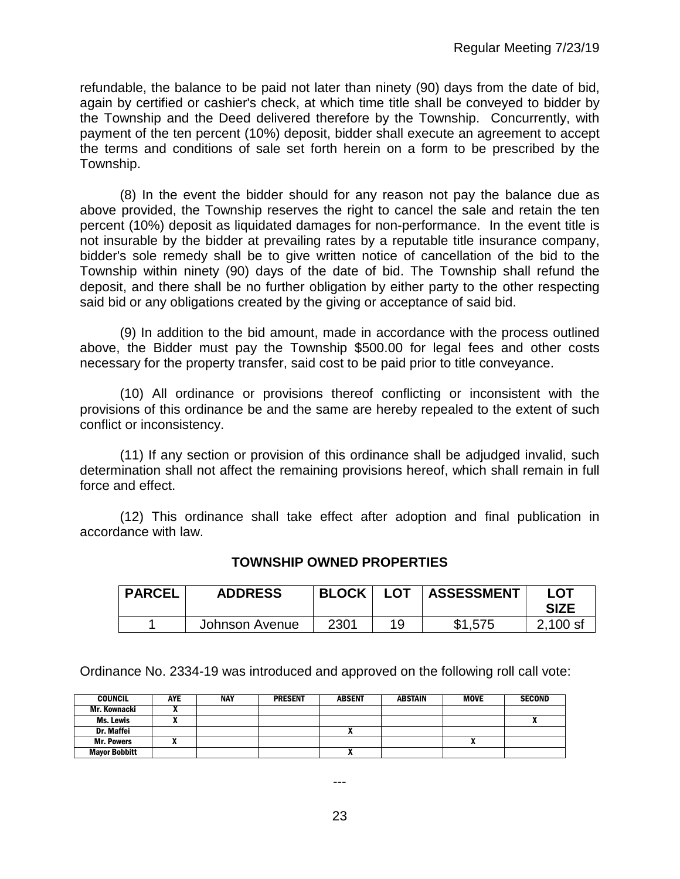refundable, the balance to be paid not later than ninety (90) days from the date of bid, again by certified or cashier's check, at which time title shall be conveyed to bidder by the Township and the Deed delivered therefore by the Township. Concurrently, with payment of the ten percent (10%) deposit, bidder shall execute an agreement to accept the terms and conditions of sale set forth herein on a form to be prescribed by the Township.

(8) In the event the bidder should for any reason not pay the balance due as above provided, the Township reserves the right to cancel the sale and retain the ten percent (10%) deposit as liquidated damages for non-performance. In the event title is not insurable by the bidder at prevailing rates by a reputable title insurance company, bidder's sole remedy shall be to give written notice of cancellation of the bid to the Township within ninety (90) days of the date of bid. The Township shall refund the deposit, and there shall be no further obligation by either party to the other respecting said bid or any obligations created by the giving or acceptance of said bid.

(9) In addition to the bid amount, made in accordance with the process outlined above, the Bidder must pay the Township \$500.00 for legal fees and other costs necessary for the property transfer, said cost to be paid prior to title conveyance.

(10) All ordinance or provisions thereof conflicting or inconsistent with the provisions of this ordinance be and the same are hereby repealed to the extent of such conflict or inconsistency.

(11) If any section or provision of this ordinance shall be adjudged invalid, such determination shall not affect the remaining provisions hereof, which shall remain in full force and effect.

(12) This ordinance shall take effect after adoption and final publication in accordance with law.

| <b>PARCEL</b> | <b>ADDRESS</b> | <b>BLOCK</b> | <b>LOT</b> | <b>ASSESSMENT</b> | LOT<br><b>SIZE</b> |
|---------------|----------------|--------------|------------|-------------------|--------------------|
|               | Johnson Avenue | 2301         | 1 Q        | \$1,575           | $2,100$ sf         |

# **TOWNSHIP OWNED PROPERTIES**

Ordinance No. 2334-19 was introduced and approved on the following roll call vote:

| <b>COUNCIL</b>       | AYE | <b>NAY</b> | <b>PRESENT</b> | <b>ABSENT</b>              | <b>ABSTAIN</b> | <b>MOVE</b> | <b>SECOND</b> |
|----------------------|-----|------------|----------------|----------------------------|----------------|-------------|---------------|
| Mr. Kownacki         |     |            |                |                            |                |             |               |
| Ms. Lewis            |     |            |                |                            |                |             |               |
| Dr. Maffei           |     |            |                |                            |                |             |               |
| <b>Mr. Powers</b>    |     |            |                |                            |                |             |               |
| <b>Mayor Bobbitt</b> |     |            |                | $\boldsymbol{\mathcal{L}}$ |                |             |               |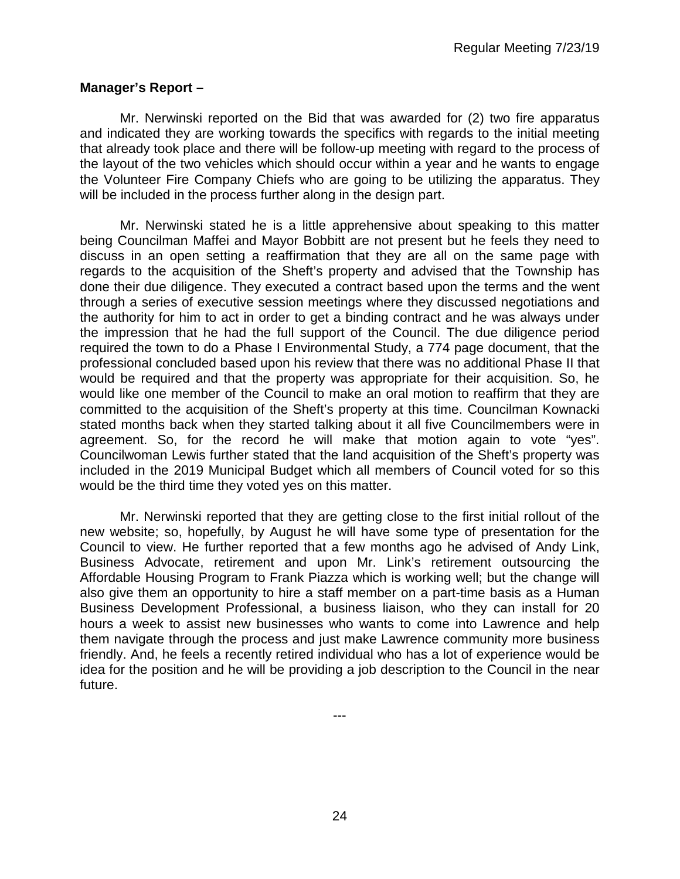## **Manager's Report –**

Mr. Nerwinski reported on the Bid that was awarded for (2) two fire apparatus and indicated they are working towards the specifics with regards to the initial meeting that already took place and there will be follow-up meeting with regard to the process of the layout of the two vehicles which should occur within a year and he wants to engage the Volunteer Fire Company Chiefs who are going to be utilizing the apparatus. They will be included in the process further along in the design part.

Mr. Nerwinski stated he is a little apprehensive about speaking to this matter being Councilman Maffei and Mayor Bobbitt are not present but he feels they need to discuss in an open setting a reaffirmation that they are all on the same page with regards to the acquisition of the Sheft's property and advised that the Township has done their due diligence. They executed a contract based upon the terms and the went through a series of executive session meetings where they discussed negotiations and the authority for him to act in order to get a binding contract and he was always under the impression that he had the full support of the Council. The due diligence period required the town to do a Phase I Environmental Study, a 774 page document, that the professional concluded based upon his review that there was no additional Phase II that would be required and that the property was appropriate for their acquisition. So, he would like one member of the Council to make an oral motion to reaffirm that they are committed to the acquisition of the Sheft's property at this time. Councilman Kownacki stated months back when they started talking about it all five Councilmembers were in agreement. So, for the record he will make that motion again to vote "yes". Councilwoman Lewis further stated that the land acquisition of the Sheft's property was included in the 2019 Municipal Budget which all members of Council voted for so this would be the third time they voted yes on this matter.

Mr. Nerwinski reported that they are getting close to the first initial rollout of the new website; so, hopefully, by August he will have some type of presentation for the Council to view. He further reported that a few months ago he advised of Andy Link, Business Advocate, retirement and upon Mr. Link's retirement outsourcing the Affordable Housing Program to Frank Piazza which is working well; but the change will also give them an opportunity to hire a staff member on a part-time basis as a Human Business Development Professional, a business liaison, who they can install for 20 hours a week to assist new businesses who wants to come into Lawrence and help them navigate through the process and just make Lawrence community more business friendly. And, he feels a recently retired individual who has a lot of experience would be idea for the position and he will be providing a job description to the Council in the near future.

---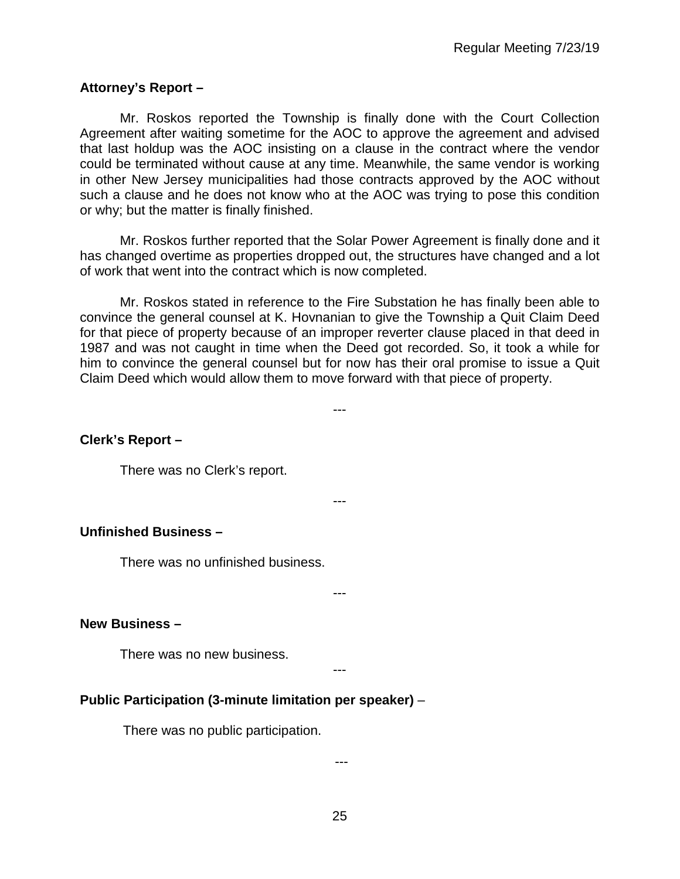# **Attorney's Report –**

Mr. Roskos reported the Township is finally done with the Court Collection Agreement after waiting sometime for the AOC to approve the agreement and advised that last holdup was the AOC insisting on a clause in the contract where the vendor could be terminated without cause at any time. Meanwhile, the same vendor is working in other New Jersey municipalities had those contracts approved by the AOC without such a clause and he does not know who at the AOC was trying to pose this condition or why; but the matter is finally finished.

Mr. Roskos further reported that the Solar Power Agreement is finally done and it has changed overtime as properties dropped out, the structures have changed and a lot of work that went into the contract which is now completed.

Mr. Roskos stated in reference to the Fire Substation he has finally been able to convince the general counsel at K. Hovnanian to give the Township a Quit Claim Deed for that piece of property because of an improper reverter clause placed in that deed in 1987 and was not caught in time when the Deed got recorded. So, it took a while for him to convince the general counsel but for now has their oral promise to issue a Quit Claim Deed which would allow them to move forward with that piece of property.

---

---

**Clerk's Report –** 

There was no Clerk's report.

## **Unfinished Business –**

There was no unfinished business.

---

## **New Business –**

There was no new business.

---

# **Public Participation (3-minute limitation per speaker)** –

There was no public participation.

---

25